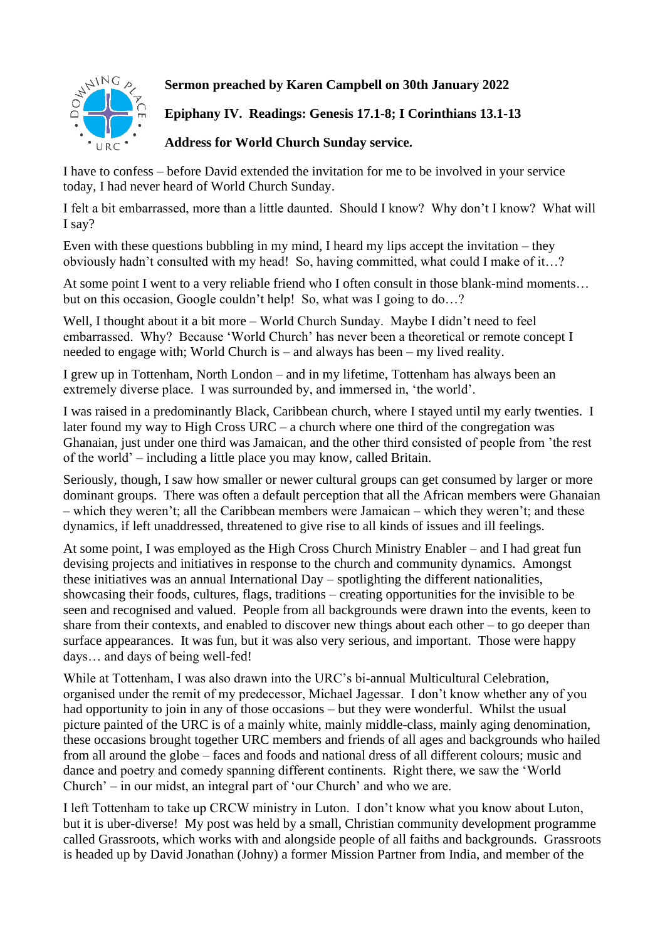

## **Sermon preached by Karen Campbell on 30th January 2022**

**Epiphany IV. Readings: Genesis 17.1-8; I Corinthians 13.1-13**

**Address for World Church Sunday service.**

I have to confess – before David extended the invitation for me to be involved in your service today, I had never heard of World Church Sunday.

I felt a bit embarrassed, more than a little daunted. Should I know? Why don't I know? What will I say?

Even with these questions bubbling in my mind, I heard my lips accept the invitation – they obviously hadn't consulted with my head! So, having committed, what could I make of it…?

At some point I went to a very reliable friend who I often consult in those blank-mind moments… but on this occasion, Google couldn't help! So, what was I going to do…?

Well, I thought about it a bit more – World Church Sunday. Maybe I didn't need to feel embarrassed. Why? Because 'World Church' has never been a theoretical or remote concept I needed to engage with; World Church is – and always has been – my lived reality.

I grew up in Tottenham, North London – and in my lifetime, Tottenham has always been an extremely diverse place. I was surrounded by, and immersed in, 'the world'.

I was raised in a predominantly Black, Caribbean church, where I stayed until my early twenties. I later found my way to High Cross URC – a church where one third of the congregation was Ghanaian, just under one third was Jamaican, and the other third consisted of people from 'the rest of the world' – including a little place you may know, called Britain.

Seriously, though, I saw how smaller or newer cultural groups can get consumed by larger or more dominant groups. There was often a default perception that all the African members were Ghanaian – which they weren't; all the Caribbean members were Jamaican – which they weren't; and these dynamics, if left unaddressed, threatened to give rise to all kinds of issues and ill feelings.

At some point, I was employed as the High Cross Church Ministry Enabler – and I had great fun devising projects and initiatives in response to the church and community dynamics. Amongst these initiatives was an annual International Day – spotlighting the different nationalities, showcasing their foods, cultures, flags, traditions – creating opportunities for the invisible to be seen and recognised and valued. People from all backgrounds were drawn into the events, keen to share from their contexts, and enabled to discover new things about each other – to go deeper than surface appearances. It was fun, but it was also very serious, and important. Those were happy days… and days of being well-fed!

While at Tottenham, I was also drawn into the URC's bi-annual Multicultural Celebration, organised under the remit of my predecessor, Michael Jagessar. I don't know whether any of you had opportunity to join in any of those occasions – but they were wonderful. Whilst the usual picture painted of the URC is of a mainly white, mainly middle-class, mainly aging denomination, these occasions brought together URC members and friends of all ages and backgrounds who hailed from all around the globe – faces and foods and national dress of all different colours; music and dance and poetry and comedy spanning different continents. Right there, we saw the 'World Church' – in our midst, an integral part of 'our Church' and who we are.

I left Tottenham to take up CRCW ministry in Luton. I don't know what you know about Luton, but it is uber-diverse! My post was held by a small, Christian community development programme called Grassroots, which works with and alongside people of all faiths and backgrounds. Grassroots is headed up by David Jonathan (Johny) a former Mission Partner from India, and member of the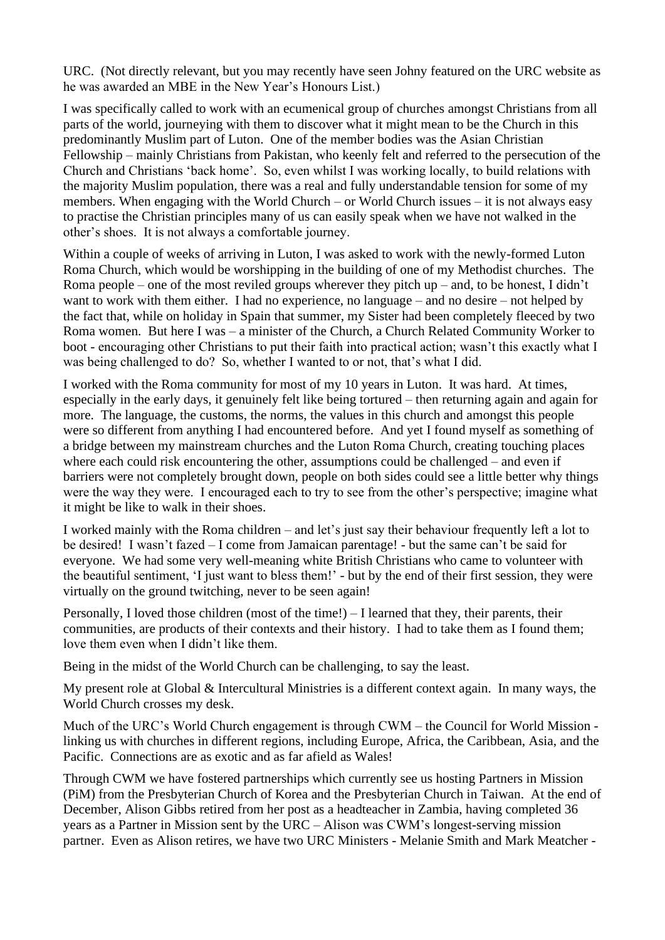URC. (Not directly relevant, but you may recently have seen Johny featured on the URC website as he was awarded an MBE in the New Year's Honours List.)

I was specifically called to work with an ecumenical group of churches amongst Christians from all parts of the world, journeying with them to discover what it might mean to be the Church in this predominantly Muslim part of Luton. One of the member bodies was the Asian Christian Fellowship – mainly Christians from Pakistan, who keenly felt and referred to the persecution of the Church and Christians 'back home'. So, even whilst I was working locally, to build relations with the majority Muslim population, there was a real and fully understandable tension for some of my members. When engaging with the World Church – or World Church issues – it is not always easy to practise the Christian principles many of us can easily speak when we have not walked in the other's shoes. It is not always a comfortable journey.

Within a couple of weeks of arriving in Luton, I was asked to work with the newly-formed Luton Roma Church, which would be worshipping in the building of one of my Methodist churches. The Roma people – one of the most reviled groups wherever they pitch up – and, to be honest, I didn't want to work with them either. I had no experience, no language – and no desire – not helped by the fact that, while on holiday in Spain that summer, my Sister had been completely fleeced by two Roma women. But here I was – a minister of the Church, a Church Related Community Worker to boot - encouraging other Christians to put their faith into practical action; wasn't this exactly what I was being challenged to do? So, whether I wanted to or not, that's what I did.

I worked with the Roma community for most of my 10 years in Luton. It was hard. At times, especially in the early days, it genuinely felt like being tortured – then returning again and again for more. The language, the customs, the norms, the values in this church and amongst this people were so different from anything I had encountered before. And yet I found myself as something of a bridge between my mainstream churches and the Luton Roma Church, creating touching places where each could risk encountering the other, assumptions could be challenged – and even if barriers were not completely brought down, people on both sides could see a little better why things were the way they were. I encouraged each to try to see from the other's perspective; imagine what it might be like to walk in their shoes.

I worked mainly with the Roma children – and let's just say their behaviour frequently left a lot to be desired! I wasn't fazed – I come from Jamaican parentage! - but the same can't be said for everyone. We had some very well-meaning white British Christians who came to volunteer with the beautiful sentiment, 'I just want to bless them!' - but by the end of their first session, they were virtually on the ground twitching, never to be seen again!

Personally, I loved those children (most of the time!)  $-$  I learned that they, their parents, their communities, are products of their contexts and their history. I had to take them as I found them; love them even when I didn't like them.

Being in the midst of the World Church can be challenging, to say the least.

My present role at Global & Intercultural Ministries is a different context again. In many ways, the World Church crosses my desk.

Much of the URC's World Church engagement is through CWM – the Council for World Mission linking us with churches in different regions, including Europe, Africa, the Caribbean, Asia, and the Pacific. Connections are as exotic and as far afield as Wales!

Through CWM we have fostered partnerships which currently see us hosting Partners in Mission (PiM) from the Presbyterian Church of Korea and the Presbyterian Church in Taiwan. At the end of December, Alison Gibbs retired from her post as a headteacher in Zambia, having completed 36 years as a Partner in Mission sent by the URC – Alison was CWM's longest-serving mission partner. Even as Alison retires, we have two URC Ministers - Melanie Smith and Mark Meatcher -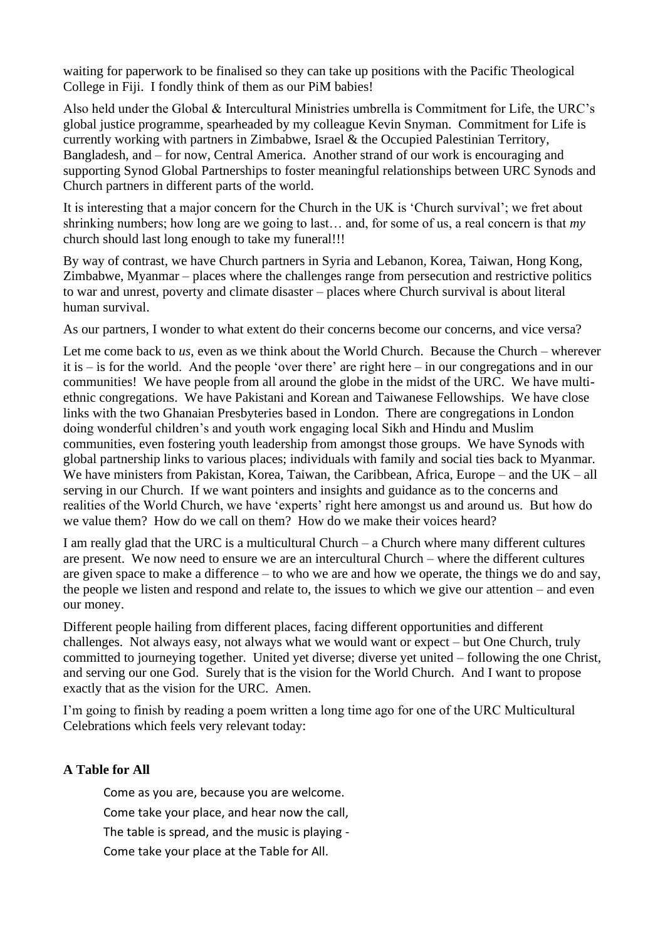waiting for paperwork to be finalised so they can take up positions with the Pacific Theological College in Fiji. I fondly think of them as our PiM babies!

Also held under the Global & Intercultural Ministries umbrella is Commitment for Life, the URC's global justice programme, spearheaded by my colleague Kevin Snyman. Commitment for Life is currently working with partners in Zimbabwe, Israel & the Occupied Palestinian Territory, Bangladesh, and – for now, Central America. Another strand of our work is encouraging and supporting Synod Global Partnerships to foster meaningful relationships between URC Synods and Church partners in different parts of the world.

It is interesting that a major concern for the Church in the UK is 'Church survival'; we fret about shrinking numbers; how long are we going to last… and, for some of us, a real concern is that *my* church should last long enough to take my funeral!!!

By way of contrast, we have Church partners in Syria and Lebanon, Korea, Taiwan, Hong Kong, Zimbabwe, Myanmar – places where the challenges range from persecution and restrictive politics to war and unrest, poverty and climate disaster – places where Church survival is about literal human survival.

As our partners, I wonder to what extent do their concerns become our concerns, and vice versa?

Let me come back to *us*, even as we think about the World Church. Because the Church – wherever it is – is for the world. And the people 'over there' are right here – in our congregations and in our communities! We have people from all around the globe in the midst of the URC. We have multiethnic congregations. We have Pakistani and Korean and Taiwanese Fellowships. We have close links with the two Ghanaian Presbyteries based in London. There are congregations in London doing wonderful children's and youth work engaging local Sikh and Hindu and Muslim communities, even fostering youth leadership from amongst those groups. We have Synods with global partnership links to various places; individuals with family and social ties back to Myanmar. We have ministers from Pakistan, Korea, Taiwan, the Caribbean, Africa, Europe – and the UK – all serving in our Church. If we want pointers and insights and guidance as to the concerns and realities of the World Church, we have 'experts' right here amongst us and around us. But how do we value them? How do we call on them? How do we make their voices heard?

I am really glad that the URC is a multicultural Church – a Church where many different cultures are present. We now need to ensure we are an intercultural Church – where the different cultures are given space to make a difference – to who we are and how we operate, the things we do and say, the people we listen and respond and relate to, the issues to which we give our attention – and even our money.

Different people hailing from different places, facing different opportunities and different challenges. Not always easy, not always what we would want or expect – but One Church, truly committed to journeying together. United yet diverse; diverse yet united – following the one Christ, and serving our one God. Surely that is the vision for the World Church. And I want to propose exactly that as the vision for the URC. Amen.

I'm going to finish by reading a poem written a long time ago for one of the URC Multicultural Celebrations which feels very relevant today:

## **A Table for All**

Come as you are, because you are welcome. Come take your place, and hear now the call, The table is spread, and the music is playing - Come take your place at the Table for All.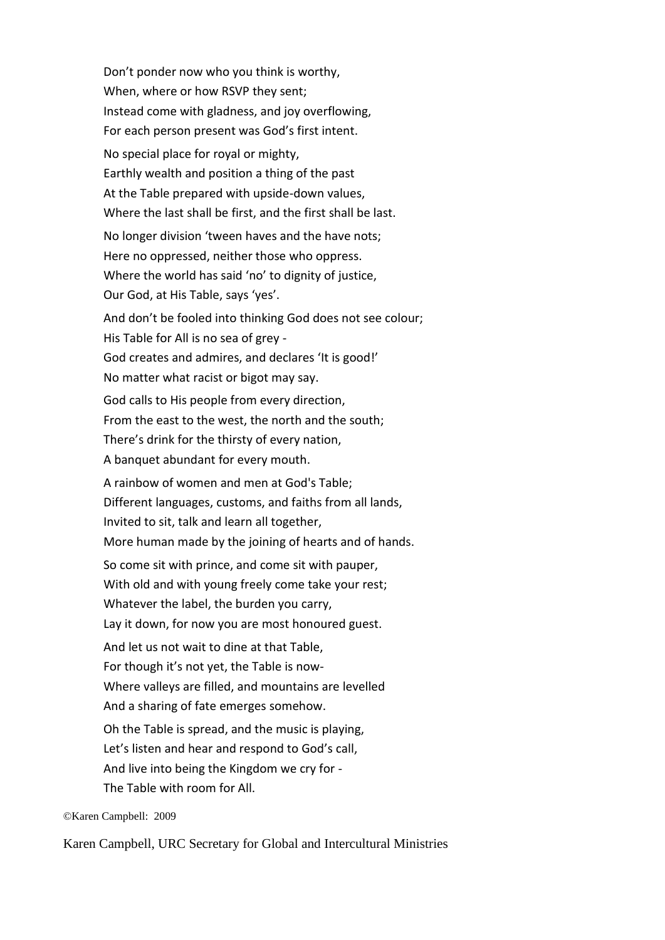Don't ponder now who you think is worthy, When, where or how RSVP they sent; Instead come with gladness, and joy overflowing, For each person present was God's first intent. No special place for royal or mighty, Earthly wealth and position a thing of the past At the Table prepared with upside-down values, Where the last shall be first, and the first shall be last. No longer division 'tween haves and the have nots; Here no oppressed, neither those who oppress. Where the world has said 'no' to dignity of justice, Our God, at His Table, says 'yes'. And don't be fooled into thinking God does not see colour; His Table for All is no sea of grey - God creates and admires, and declares 'It is good!' No matter what racist or bigot may say. God calls to His people from every direction, From the east to the west, the north and the south; There's drink for the thirsty of every nation, A banquet abundant for every mouth. A rainbow of women and men at God's Table; Different languages, customs, and faiths from all lands, Invited to sit, talk and learn all together, More human made by the joining of hearts and of hands. So come sit with prince, and come sit with pauper, With old and with young freely come take your rest; Whatever the label, the burden you carry, Lay it down, for now you are most honoured guest. And let us not wait to dine at that Table, For though it's not yet, the Table is now-Where valleys are filled, and mountains are levelled And a sharing of fate emerges somehow. Oh the Table is spread, and the music is playing, Let's listen and hear and respond to God's call, And live into being the Kingdom we cry for - The Table with room for All.

©Karen Campbell: 2009

Karen Campbell, URC Secretary for Global and Intercultural Ministries